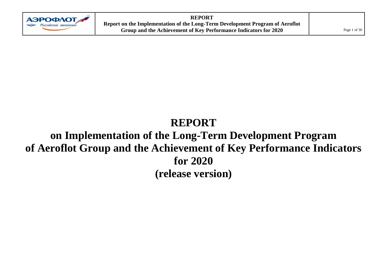

**REPORT Report on the Implementation of the Long-Term Development Program of Aeroflot Group and the Achievement of Key Performance Indicators for 2020** Page 1 of 30

# **REPORT**

# **on Implementation of the Long-Term Development Program of Aeroflot Group and the Achievement of Key Performance Indicators for 2020 (release version)**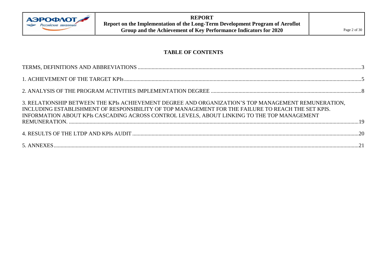

#### **TABLE OF CONTENTS**

| 3. RELATIONSHIP BETWEEN THE KPIs ACHIEVEMENT DEGREE AND ORGANIZATION'S TOP MANAGEMENT REMUNERATION,<br>INCLUDING ESTABLISHMENT OF RESPONSIBILITY OF TOP MANAGEMENT FOR THE FAILURE TO REACH THE SET KPIS.<br>INFORMATION ABOUT KPIs CASCADING ACROSS CONTROL LEVELS, ABOUT LINKING TO THE TOP MANAGEMENT |  |
|----------------------------------------------------------------------------------------------------------------------------------------------------------------------------------------------------------------------------------------------------------------------------------------------------------|--|
|                                                                                                                                                                                                                                                                                                          |  |
|                                                                                                                                                                                                                                                                                                          |  |
|                                                                                                                                                                                                                                                                                                          |  |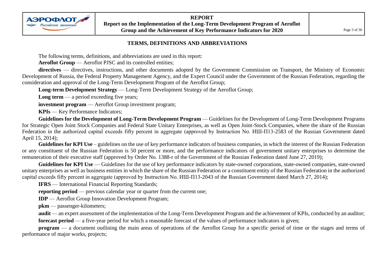

#### **TERMS, DEFINITIONS AND ABBREVIATIONS**

<span id="page-2-0"></span>The following terms, definitions, and abbreviations are used in this report:

Aeroflot Group — Aeroflot PJSC and its controlled entities;

directives — directives, instructions, and other documents adopted by the Government Commission on Transport, the Ministry of Economic Development of Russia, the Federal Property Management Agency, and the Expert Council under the Government of the Russian Federation, regarding the consideration and approval of the Long-Term Development Program of the Aeroflot Group;

**Long-term Development Strategy** — Long-Term Development Strategy of the Aeroflot Group;

**Long term** — a period exceeding five years;

**investment program** — Aeroflot Group investment program;

**KPIs** — Key Performance Indicators;

**АЭРОФЛОТ** <u> SI Российские</u> авиалиний

Guidelines for the Development of Long-Term Development Program — Guidelines for the Development of Long-Term Development Programs for Strategic Open Joint Stock Companies and Federal State Unitary Enterprises, as well as Open Joint-Stock Companies, where the share of the Russian Federation in the authorized capital exceeds fifty percent in aggregate (approved by Instruction No. ИШ-П13-2583 of the Russian Government dated April 15, 2014);

**Guidelines for KPI Use** – guidelines on the use of key performance indicators of business companies, in which the interest of the Russian Federation or any constituent of the Russian Federation is 50 percent or more, and the performance indicators of government unitary enterprises to determine the remuneration of their executive staff (approved by Order No. 1388-r of the Government of the Russian Federation dated June 27, 2019);

Guidelines for KPI Use — Guidelines for the use of key performance indicators by state-owned corporations, state-owned companies, state-owned unitary enterprises as well as business entities in which the share of the Russian Federation or a constituent entity of the Russian Federation in the authorized capital exceeds fifty percent in aggregate (approved by Instruction No. ИШ-П13-2043 of the Russian Government dated March 27, 2014);

**IFRS** — International Financial Reporting Standards;

**reporting period** — previous calendar year or quarter from the current one;

**IDP** — Aeroflot Group Innovation Development Program;

**pkm** — passenger-kilometers;

**audit** — an expert assessment of the implementation of the Long-Term Development Program and the achievement of KPIs, conducted by an auditor; **forecast period** — a five-year period for which a reasonable forecast of the values of performance indicators is given;

**program** — a document outlining the main areas of operations of the Aeroflot Group for a specific period of time or the stages and terms of performance of major works, projects;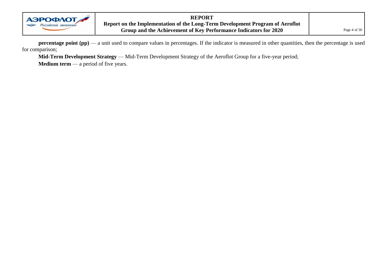

**REPORT Report on the Implementation of the Long-Term Development Program of Aeroflot**  Group and the Achievement of Key Performance Indicators for 2020

**percentage point (pp)** — a unit used to compare values in percentages. If the indicator is measured in other quantities, then the percentage is used for comparison;

**Mid-Term Development Strategy** — Mid-Term Development Strategy of the Aeroflot Group for a five-year period;

**Medium term** — a period of five years.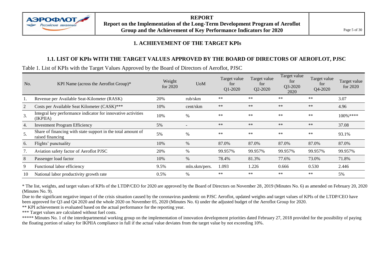

#### **1. ACHIEVEMENT OF THE TARGET KPIs**

#### **1.1. LIST OF KPIs WITH THE TARGET VALUES APPROVED BY THE BOARD OF DIRECTORS OF AEROFLOT, PJSC**

<span id="page-4-0"></span>Table 1. List of KPIs with the Target Values Approved by the Board of Directors of Aeroflot, PJSC

| No. | KPI Name (across the Aeroflot Group)*                                            | Weight<br>for $2020$ | <b>U</b> oM   | Target value<br>for<br>Q1-2020 | Target value<br>for<br>Q2-2020 | Target value<br>tor<br>Q3-2020<br>2020 | Target value<br>for<br>Q4-2020 | Target value<br>for 2020 |
|-----|----------------------------------------------------------------------------------|----------------------|---------------|--------------------------------|--------------------------------|----------------------------------------|--------------------------------|--------------------------|
|     | Revenue per Available Seat-Kilometer (RASK)                                      | 20%                  | rub/skm       | $***$                          | $**$                           | $**$                                   | **                             | 3.07                     |
| 2   | Costs per Available Seat Kilometer (CASK)***                                     | 10%                  | cent/skm      | $***$                          | $**$                           | $**$                                   | $**$                           | 4.96                     |
| 3.  | Integral key performance indicator for innovative activities<br>(IKPIIA)         | 10%                  | $\%$          | $**$                           | $***$                          | $***$                                  | $**$                           | $100\%$ ****             |
| 4.  | <b>Investment Program Efficiency</b>                                             | 5%                   |               | $***$                          | $**$                           | $**$                                   | $**$                           | 37.08                    |
| 5.  | Share of financing with state support in the total amount of<br>raised financing | 5%                   | $\%$          | $***$                          | $***$                          | $***$                                  | **                             | 93.1%                    |
| 6.  | Flights' punctuality                                                             | 10%                  | $\%$          | 87.0%                          | 87.0%                          | 87.0%                                  | 87.0%                          | 87.0%                    |
| 7.  | Aviation safety factor of Aeroflot PJSC                                          | 20%                  | $\%$          | 99.957%                        | 99.957%                        | 99.957%                                | 99.957%                        | 99.957%                  |
| 8   | Passenger load factor                                                            | 10%                  | $\%$          | 78.4%                          | 81.3%                          | 77.6%                                  | 73.0%                          | 71.8%                    |
| 9   | Functional labor efficiency                                                      | 9.5%                 | mln.skm/pers. | 1.093                          | 1.226                          | 0.666                                  | 0.530                          | 2.446                    |
| 10  | National labor productivity growth rate                                          | 0.5%                 | $\%$          | $***$                          | $***$                          | $**$                                   | **                             | 5%                       |

\* The list, weights, and target values of KPIs of the LTDP/CEO for 2020 are approved by the Board of Directors on November 28, 2019 (Minutes No. 6) as amended on February 20, 2020 (Minutes No. 9).

Due to the significant negative impact of the crisis situation caused by the coronavirus pandemic on PJSC Aeroflot, updated weights and target values of KPIs of the LTDP/CEO have been approved for Q3 and Q4 2020 and the whole 2020 on November 05, 2020 (Minutes No. 6) under the adjusted budget of the Aeroflot Group for 2020.

\*\* KPI achievement is evaluated based on the actual performance for the reporting year.

\*\*\* Target values are calculated without fuel costs.

\*\*\*\*\* Minutes No. 1 of the interdepartmental working group on the implementation of innovation development priorities dated February 27, 2018 provided for the possibility of paying the floating portion of salary for IKPIIA compliance in full if the actual value deviates from the target value by not exceeding 10%.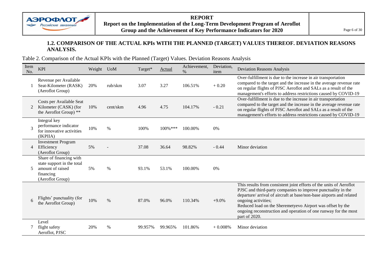

#### **1.2. COMPARISON OF THE ACTUAL KPIs WITH THE PLANNED (TARGET) VALUES THEREOF. DEVIATION REASONS ANALYSIS.**

Table 2. Comparison of the Actual KPIs with the Planned (Target) Values. Deviation Reasons Analysis

| Item<br>No.  | <b>KPI</b>                                                                                                 | Weight | <b>U</b> oM | Target* | Actual  | Achievement,<br>$\%$ | Deviation,<br>item | <b>Deviation Reasons Analysis</b>                                                                                                                                                                                                                                                                                                                                                    |
|--------------|------------------------------------------------------------------------------------------------------------|--------|-------------|---------|---------|----------------------|--------------------|--------------------------------------------------------------------------------------------------------------------------------------------------------------------------------------------------------------------------------------------------------------------------------------------------------------------------------------------------------------------------------------|
|              | Revenue per Available<br>Seat-Kilometer (RASK)<br>(Aeroflot Group)                                         | 20%    | rub/skm     | 3.07    | 3.27    | 106.51%              | $+0.20$            | Over-fulfillment is due to the increase in air transportation<br>compared to the target and the increase in the average revenue rate<br>on regular flights of PJSC Aeroflot and SALs as a result of the<br>management's efforts to address restrictions caused by COVID-19                                                                                                           |
| 2            | Costs per Available Seat<br>Kilometer (CASK) (for<br>the Aeroflot Group) **                                | 10%    | cent/skm    | 4.96    | 4.75    | 104.17%              | $-0.21$            | Over-fulfillment is due to the increase in air transportation<br>compared to the target and the increase in the average revenue rate<br>on regular flights of PJSC Aeroflot and SALs as a result of the<br>management's efforts to address restrictions caused by COVID-19                                                                                                           |
| $\mathbf{3}$ | Integral key<br>performance indicator<br>for innovative activities<br>(IKPIIA)                             | 10%    | $\%$        | 100%    | 100%*** | 100.00%              | 0%                 |                                                                                                                                                                                                                                                                                                                                                                                      |
| 4            | <b>Investment Program</b><br>Efficiency<br>(Aeroflot Group)                                                | 5%     |             | 37.08   | 36.64   | 98.82%               | $-0.44$            | Minor deviation                                                                                                                                                                                                                                                                                                                                                                      |
| 5            | Share of financing with<br>state support in the total<br>amount of raised<br>financing<br>(Aeroflot Group) | 5%     | %           | 93.1%   | 53.1%   | 100.00%              | 0%                 |                                                                                                                                                                                                                                                                                                                                                                                      |
| 6            | Flights' punctuality (for<br>the Aeroflot Group)                                                           | 10%    | $\%$        | 87.0%   | 96.0%   | 110.34%              | $+9.0%$            | This results from consistent joint efforts of the units of Aeroflot<br>PJSC and third-party companies to improve punctuality in the<br>departure/ arrival of aircraft at base/non-base airports and related<br>ongoing activities;<br>Reduced load on the Sheremetyevo Airport was offset by the<br>ongoing reconstruction and operation of one runway for the most<br>part of 2020. |
|              | Level<br>flight safety<br>Aeroflot, PJSC                                                                   | 20%    | $\%$        | 99.957% | 99.965% | 101.86%              | $+0.008%$          | Minor deviation                                                                                                                                                                                                                                                                                                                                                                      |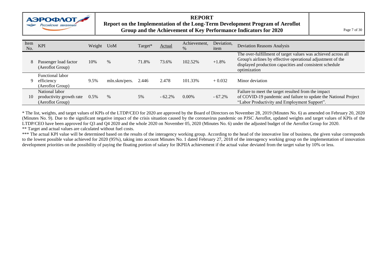

#### **REPORT Report on the Implementation of the Long-Term Development Program of Aeroflot Group and the Achievement of Key Performance Indicators for 2020** Page 7 of 30

| Item<br>No. | <b>KPI</b>                                                     | Weight | <b>U</b> oM   | Target* | Actual    | Achievement,<br>$\%$ | Deviation,<br>item | <b>Deviation Reasons Analysis</b>                                                                                                                                                                       |
|-------------|----------------------------------------------------------------|--------|---------------|---------|-----------|----------------------|--------------------|---------------------------------------------------------------------------------------------------------------------------------------------------------------------------------------------------------|
| 8           | Passenger load factor<br>(Aeroflot Group)                      | 10%    | $\%$          | 71.8%   | 73.6%     | 102.52%              | $+1.8\%$           | The over-fulfillment of target values was achieved across all<br>Group's airlines by effective operational adjustment of the<br>displayed production capacities and consistent schedule<br>optimization |
| 9           | <b>Functional labor</b><br>efficiency<br>(Aeroflot Group)      | 9.5%   | mln.skm/pers. | 2.446   | 2.478     | 101.33%              | $+0.032$           | Minor deviation                                                                                                                                                                                         |
| 10          | National labor<br>productivity growth rate<br>(Aeroflot Group) | 0.5%   | %             | 5%      | $-62.2\%$ | $0.00\%$             | $-67.2\%$          | Failure to meet the target resulted from the impact<br>of COVID-19 pandemic and failure to update the National Project<br>"Labor Productivity and Employment Support".                                  |

\* The list, weights, and target values of KPIs of the LTDP/CEO for 2020 are approved by the Board of Directors on November 28, 2019 (Minutes No. 6) as amended on February 20, 2020 (Minutes No. 9). Due to the significant negative impact of the crisis situation caused by the coronavirus pandemic on PJSC Aeroflot, updated weights and target values of KPIs of the LTDP/CEO have been approved for Q3 and Q4 2020 and the whole 2020 on November 05, 2020 (Minutes No. 6) under the adjusted budget of the Aeroflot Group for 2020. \*\* Target and actual values are calculated without fuel costs.

\*\*\* The actual KPI value will be determined based on the results of the interagency working group. According to the head of the innovative line of business, the given value corresponds to the lowest possible value achieved for 2020 (95%), taking into account Minutes No. 1 dated February 27, 2018 of the interagency working group on the implementation of innovation development priorities on the possibility of paying the floating portion of salary for IKPIIA achievement if the actual value deviated from the target value by 10% or less.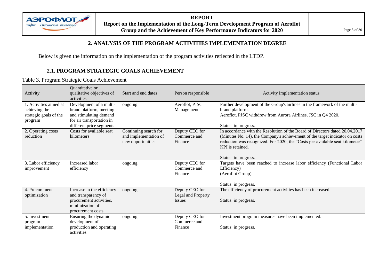

**REPORT Report on the Implementation of the Long-Term Development Program of Aeroflot**  Group and the Achievement of Key Performance Indicators for 2020

#### **2. ANALYSIS OF THE PROGRAM ACTIVITIES IMPLEMENTATION DEGREE**

<span id="page-7-0"></span>Below is given the information on the implementation of the program activities reflected in the LTDP.

#### **2.1. PROGRAM STRATEGIC GOALS ACHIEVEMENT**

Table 3. Program Strategic Goals Achievement

| Activity                                                                     | Quantitative or<br>qualitative objectives of<br>activities                                                                            | Start and end dates                                                 | Person responsible                                    | Activity implementation status                                                                                                                                                                                                                                                           |
|------------------------------------------------------------------------------|---------------------------------------------------------------------------------------------------------------------------------------|---------------------------------------------------------------------|-------------------------------------------------------|------------------------------------------------------------------------------------------------------------------------------------------------------------------------------------------------------------------------------------------------------------------------------------------|
| 1. Activities aimed at<br>achieving the<br>strategic goals of the<br>program | Development of a multi-<br>brand platform, meeting<br>and stimulating demand<br>for air transportation in<br>different price segments | ongoing                                                             | Aeroflot, PJSC<br>Management                          | Further development of the Group's airlines in the framework of the multi-<br>brand platform.<br>Aeroflot, PJSC withdrew from Aurora Airlines, JSC in Q4 2020.<br>Status: in progress.                                                                                                   |
| 2. Operating costs<br>reduction                                              | Costs for available seat<br>kilometers                                                                                                | Continuing search for<br>and implementation of<br>new opportunities | Deputy CEO for<br>Commerce and<br>Finance             | In accordance with the Resolution of the Board of Directors dated 20.04.2017<br>(Minutes No. 14), the Company's achievement of the target indicator on costs<br>reduction was recognized. For 2020, the "Costs per available seat kilometer"<br>KPI is retained.<br>Status: in progress. |
| 3. Labor efficiency<br>improvement                                           | Increased labor<br>efficiency                                                                                                         | ongoing                                                             | Deputy CEO for<br>Commerce and<br>Finance             | Targets have been reached to increase labor efficiency (Functional Labor<br>Efficiency)<br>(Aeroflot Group)<br>Status: in progress.                                                                                                                                                      |
| 4. Procurement<br>optimization                                               | Increase in the efficiency<br>and transparency of<br>procurement activities,<br>minimization of<br>procurement costs                  | ongoing                                                             | Deputy CEO for<br>Legal and Property<br><i>Issues</i> | The efficiency of procurement activities has been increased.<br>Status: in progress.                                                                                                                                                                                                     |
| 5. Investment<br>program<br>implementation                                   | Ensuring the dynamic<br>development of<br>production and operating<br>activities                                                      | ongoing                                                             | Deputy CEO for<br>Commerce and<br>Finance             | Investment program measures have been implemented.<br>Status: in progress.                                                                                                                                                                                                               |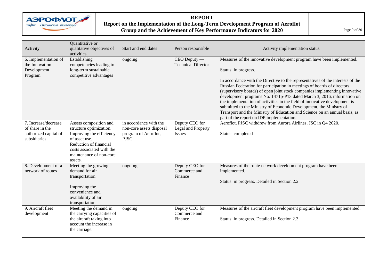

#### **REPORT Report on the Implementation of the Long-Term Development Program of Aeroflot Group and the Achievement of Key Performance Indicators for 2020** Page 9 of 30

| Activity                                                                         | Quantitative or<br>qualitative objectives of<br>activities                                                                                                                                  | Start and end dates                                                                       | Person responsible                                    | Activity implementation status                                                                                                                                                                                                                                                                                                                                                                                                                                                                                                                                                                                                                                                                     |
|----------------------------------------------------------------------------------|---------------------------------------------------------------------------------------------------------------------------------------------------------------------------------------------|-------------------------------------------------------------------------------------------|-------------------------------------------------------|----------------------------------------------------------------------------------------------------------------------------------------------------------------------------------------------------------------------------------------------------------------------------------------------------------------------------------------------------------------------------------------------------------------------------------------------------------------------------------------------------------------------------------------------------------------------------------------------------------------------------------------------------------------------------------------------------|
| 6. Implementation of<br>the Innovation<br>Development<br>Program                 | Establishing<br>competencies leading to<br>long-term sustainable<br>competitive advantages                                                                                                  | ongoing                                                                                   | CEO Deputy —<br><b>Technical Director</b>             | Measures of the innovative development program have been implemented.<br>Status: in progress.<br>In accordance with the Directive to the representatives of the interests of the<br>Russian Federation for participation in meetings of boards of directors<br>(supervisory boards) of open joint stock companies implementing innovative<br>development programs No. 1471p-P13 dated March 3, 2016, information on<br>the implementation of activities in the field of innovative development is<br>submitted to the Ministry of Economic Development, the Ministry of<br>Transport and the Ministry of Education and Science on an annual basis, as<br>part of the report on IDP implementation. |
| 7. Increase/decrease<br>of share in the<br>authorized capital of<br>subsidiaries | Assets composition and<br>structure optimization.<br>Improving the efficiency<br>of asset use.<br>Reduction of financial<br>costs associated with the<br>maintenance of non-core<br>assets. | in accordance with the<br>non-core assets disposal<br>program of Aeroflot,<br><b>PJSC</b> | Deputy CEO for<br>Legal and Property<br><b>Issues</b> | Aeroflot, PJSC withdrew from Aurora Airlines, JSC in Q4 2020.<br>Status: completed                                                                                                                                                                                                                                                                                                                                                                                                                                                                                                                                                                                                                 |
| 8. Development of a<br>network of routes                                         | Meeting the growing<br>demand for air<br>transportation.<br>Improving the<br>convenience and<br>availability of air<br>transportation.                                                      | ongoing                                                                                   | Deputy CEO for<br>Commerce and<br>Finance             | Measures of the route network development program have been<br>implemented.<br>Status: in progress. Detailed in Section 2.2.                                                                                                                                                                                                                                                                                                                                                                                                                                                                                                                                                                       |
| 9. Aircraft fleet<br>development                                                 | Meeting the demand in<br>the carrying capacities of<br>the aircraft taking into<br>account the increase in<br>the carriage.                                                                 | ongoing                                                                                   | Deputy CEO for<br>Commerce and<br>Finance             | Measures of the aircraft fleet development program have been implemented.<br>Status: in progress. Detailed in Section 2.3.                                                                                                                                                                                                                                                                                                                                                                                                                                                                                                                                                                         |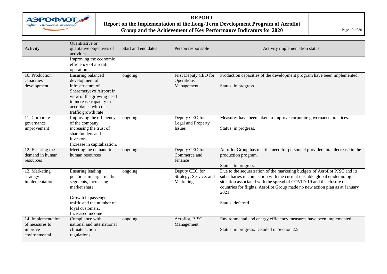

#### **REPORT**

#### **Report on the Implementation of the Long-Term Development Program of Aeroflot Group and the Achievement of Key Performance Indicators for 2020** Page 10 of 30

| Activity                                                         | Quantitative or<br>qualitative objectives of<br>activities                                                                                                                                      | Start and end dates | Person responsible                                    | Activity implementation status                                                                                                                                                                                                                                                                                                                |
|------------------------------------------------------------------|-------------------------------------------------------------------------------------------------------------------------------------------------------------------------------------------------|---------------------|-------------------------------------------------------|-----------------------------------------------------------------------------------------------------------------------------------------------------------------------------------------------------------------------------------------------------------------------------------------------------------------------------------------------|
|                                                                  | Improving the economic<br>efficiency of aircraft<br>operation.                                                                                                                                  |                     |                                                       |                                                                                                                                                                                                                                                                                                                                               |
| 10. Production<br>capacities<br>development                      | <b>Ensuring balanced</b><br>development of<br>infrastructure of<br>Sheremetyevo Airport in<br>view of the growing need<br>to increase capacity in<br>accordance with the<br>traffic growth rate | ongoing             | First Deputy CEO for<br>Operations<br>Management      | Production capacities of the development program have been implemented.<br>Status: in progress.                                                                                                                                                                                                                                               |
| 11. Corporate<br>governance<br>improvement                       | Improving the efficiency<br>of the company,<br>increasing the trust of<br>shareholders and<br>investors.<br>Increase in capitalization.                                                         | ongoing             | Deputy CEO for<br>Legal and Property<br>Issues        | Measures have been taken to improve corporate governance practices.<br>Status: in progress.                                                                                                                                                                                                                                                   |
| 12. Ensuring the<br>demand in human<br>resources                 | Meeting the demand in<br>human resources                                                                                                                                                        | ongoing             | Deputy CEO for<br>Commerce and<br>Finance             | Aeroflot Group has met the need for personnel provided total decrease in the<br>production program.<br>Status: in progress.                                                                                                                                                                                                                   |
| 13. Marketing<br>strategy<br>implementation                      | Ensuring leading<br>positions in target market<br>segments, increasing<br>market share.<br>Growth in passenger<br>traffic and the number of<br>loyal customers.<br>Increased income             | ongoing             | Deputy CEO for<br>Strategy, Service, and<br>Marketing | Due to the sequestration of the marketing budgets of Aeroflot PJSC and its<br>subsidiaries in connection with the current unstable global epidemiological<br>situation associated with the spread of COVID-19 and the closure of<br>countries for flights, Aeroflot Group made no new action plan as at January<br>2021.<br>Status: deferred. |
| 14. Implementation<br>of measures to<br>improve<br>environmental | Compliance with<br>national and international<br>climate action<br>regulations.                                                                                                                 | ongoing             | Aeroflot, PJSC<br>Management                          | Environmental and energy efficiency measures have been implemented.<br>Status: in progress. Detailed in Section 2.5.                                                                                                                                                                                                                          |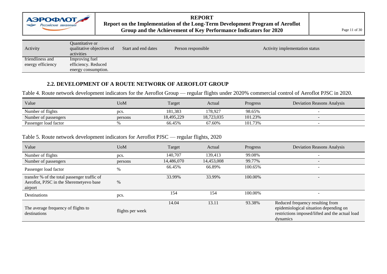

## **REPORT**

#### **Report on the Implementation of the Long-Term Development Program of Aeroflot Group and the Achievement of Key Performance Indicators for 2020** Page 11 of 30

| Activity          | Quantitative or<br>qualitative objectives of<br>activities | Start and end dates | Person responsible | Activity implementation status |
|-------------------|------------------------------------------------------------|---------------------|--------------------|--------------------------------|
| friendliness and  | Improving fuel                                             |                     |                    |                                |
| energy efficiency | efficiency. Reduced                                        |                     |                    |                                |
|                   | energy consumption.                                        |                     |                    |                                |

#### **2.2. DEVELOPMENT OF A ROUTE NETWORK OF AEROFLOT GROUP**

Table 4. Route network development indicators for the Aeroflot Group — regular flights under 2020% commercial control of Aeroflot PJSC in 2020.

| Value                 | UoM     | Target     | Actual     | Progress | Deviation Reasons Analysis |
|-----------------------|---------|------------|------------|----------|----------------------------|
| Number of flights     | pcs.    | 181.383    | 178.927    | 98.65%   |                            |
| Number of passengers  | persons | 18.495.229 | 18.723.035 | 101.23%  |                            |
| Passenger load factor |         | 66.45%     | 67.60%     | 101.73%  |                            |

#### Table 5. Route network development indicators for Aeroflot PJSC — regular flights, 2020

| Value                                                                                              | <b>UoM</b>       | Target     | Actual     | Progress | <b>Deviation Reasons Analysis</b>                                                                                                         |
|----------------------------------------------------------------------------------------------------|------------------|------------|------------|----------|-------------------------------------------------------------------------------------------------------------------------------------------|
| Number of flights                                                                                  | pcs.             | 140,707    | 139,413    | 99.08%   |                                                                                                                                           |
| Number of passengers                                                                               | persons          | 14,486,070 | 14,453,008 | 99.77%   |                                                                                                                                           |
| Passenger load factor                                                                              | $\%$             | 66.45%     | 66.89%     | 100.65%  |                                                                                                                                           |
| transfer % of the total passenger traffic of<br>Aeroflot, PJSC in the Sheremetyevo base<br>airport | %                | 33.99%     | 33.99%     | 100.00%  |                                                                                                                                           |
| Destinations                                                                                       | pcs.             | 154        | 154        | 100.00%  |                                                                                                                                           |
| The average frequency of flights to<br>destinations                                                | flights per week | 14.04      | 13.11      | 93.38%   | Reduced frequency resulting from<br>epidemiological situation depending on<br>restrictions imposed/lifted and the actual load<br>dynamics |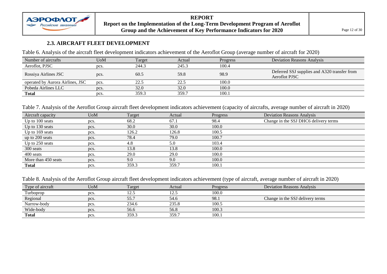

#### **REPORT Report on the Implementation of the Long-Term Development Program of Aeroflot Group and the Achievement of Key Performance Indicators for 2020** Page 12 of 30

#### **2.3. AIRCRAFT FLEET DEVELOPMENT**

Table 6. Analysis of the aircraft fleet development indicators achievement of the Aeroflot Group (average number of aircraft for 2020)

| Number of aircrafts              | UoM  | Target | Actual | <b>Progress</b> | <b>Deviation Reasons Analysis</b>                                    |
|----------------------------------|------|--------|--------|-----------------|----------------------------------------------------------------------|
| Aeroflot, PJSC                   | pcs. | 244.3  | 245.3  | 100.4           |                                                                      |
| Rossiya Airlines JSC             | pcs. | 60.5   | 59.8   | 98.9            | Deferred SSJ supplies and A320 transfer from<br><b>Aeroflot PJSC</b> |
| operated by Aurora Airlines, JSC | pcs. | 22.5   | 22.5   | 100.0           |                                                                      |
| Pobeda Airlines LLC              | pcs. | 32.0   | 32.0   | 100.0           |                                                                      |
| <b>Total</b>                     | pcs. | 359.3  | 359.7  | 100.1           |                                                                      |

Table 7. Analysis of the Aeroflot Group aircraft fleet development indicators achievement (capacity of aircrafts, average number of aircraft in 2020)

| Aircraft capacity   | <b>U</b> oM | Target | Actual | Progress | <b>Deviation Reasons Analysis</b>     |
|---------------------|-------------|--------|--------|----------|---------------------------------------|
| Up to 100 seats     | pcs.        | 68.2   | 67.1   | 98.4     | Change in the SSJ DHC6 delivery terms |
| Up to 130 seats     | pcs.        | 30.0   | 30.0   | 100.0    |                                       |
| Up to 169 seats     | pcs.        | 126.2  | 126.8  | 100.5    |                                       |
| up to 200 seats     | pcs.        | 78.4   | 79.0   | 100.7    |                                       |
| Up to 250 seats     | pcs.        | 4.8    | 5.0    | 103.4    |                                       |
| 300 seats           | pcs.        | 13.8   | 13.8   | 100.0    |                                       |
| 400 seats           | pcs.        | 29.0   | 29.0   | 100.0    |                                       |
| More than 450 seats | pcs.        | 9.0    | 9.0    | 100.0    |                                       |
| <b>Total</b>        | pcs.        | 359.3  | 359.7  | 100.1    |                                       |

Table 8. Analysis of the Aeroflot Group aircraft fleet development indicators achievement (type of aircraft, average number of aircraft in 2020)

| Type of aircraft | U <sub>0</sub> M | Target | Actual | Progress | <b>Deviation Reasons Analysis</b> |
|------------------|------------------|--------|--------|----------|-----------------------------------|
| Turboprop        | pcs.             |        | 12.5   | 100.0    |                                   |
| Regional         | pcs.             | 55.7   | 54.6   | 98.1     | Change in the SSJ delivery terms  |
| Narrow-body      | pcs.             | 234.6  | 235.8  | 100.5    |                                   |
| Wide-body        | pcs.             | 56.6   | 56.8   | 100.3    |                                   |
| <b>Total</b>     | pcs.             | 359.3  | 359.7  | 100.1    |                                   |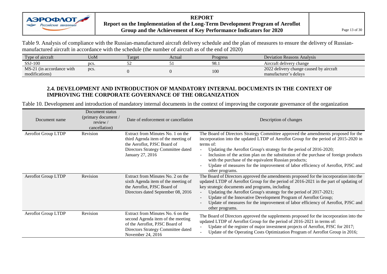

**REPORT Report on the Implementation of the Long-Term Development Program of Aeroflot Group and the Achievement of Key Performance Indicators for 2020**  $\parallel$  Page 13 of 30

Table 9. Analysis of compliance with the Russian-manufactured aircraft delivery schedule and the plan of measures to ensure the delivery of Russianmanufactured aircraft in accordance with the schedule (the number of aircraft as of the end of 2020)

| Type of aircraft          | UoM  | Target | Actual | Progress | Deviation Reasons Analysis              |
|---------------------------|------|--------|--------|----------|-----------------------------------------|
| SSJ-100                   | pcs. | ້      |        | 98. .    | Aircraft delivery change                |
| MS-21 (in accordance with | pcs. |        |        | 100      | 2022 delivery change caused by aircraft |
| modifications)            |      |        |        |          | manufacturer's delays                   |

#### **2.4. DEVELOPMENT AND INTRODUCTION OF MANDATORY INTERNAL DOCUMENTS IN THE CONTEXT OF IMPROVING THE CORPORATE GOVERNANCE OF THE ORGANIZATION**

Table 10. Development and introduction of mandatory internal documents in the context of improving the corporate governance of the organization

| Document name              | Document status<br>(primary document /<br>review $/$<br>cancellation) | Date of enforcement or cancellation                                                                                                                                 | Description of changes                                                                                                                                                                                                                                                                                                                                                                                                                                                                                                 |
|----------------------------|-----------------------------------------------------------------------|---------------------------------------------------------------------------------------------------------------------------------------------------------------------|------------------------------------------------------------------------------------------------------------------------------------------------------------------------------------------------------------------------------------------------------------------------------------------------------------------------------------------------------------------------------------------------------------------------------------------------------------------------------------------------------------------------|
| <b>Aeroflot Group LTDP</b> | Revision                                                              | Extract from Minutes No. 1 on the<br>third Agenda item of the meeting of<br>the Aeroflot, PJSC Board of<br>Directors Strategy Committee dated<br>January 27, 2016   | The Board of Directors Strategy Committee approved the amendments proposed for the<br>incorporation into the updated LTDP of Aeroflot Group for the period of 2015-2020 in<br>terms of:<br>Updating the Aeroflot Group's strategy for the period of 2016-2020;<br>Inclusion of the action plan on the substitution of the purchase of foreign products<br>with the purchase of the equivalent Russian products;<br>Update of measures for the improvement of labor efficiency of Aeroflot, PJSC and<br>other programs. |
| Aeroflot Group LTDP        | Revision                                                              | Extract from Minutes No. 2 on the<br>sixth Agenda item of the meeting of<br>the Aeroflot, PJSC Board of<br>Directors dated September 08, 2016                       | The Board of Directors approved the amendments proposed for the incorporation into the<br>updated LTDP of Aeroflot Group for the period of 2016-2021 in the part of updating of<br>key strategic documents and programs, including<br>Updating the Aeroflot Group's strategy for the period of 2017-2021;<br>Update of the Innovative Development Program of Aeroflot Group;<br>Update of measures for the improvement of labor efficiency of Aeroflot, PJSC and<br>other programs.                                    |
| Aeroflot Group LTDP        | Revision                                                              | Extract from Minutes No. 6 on the<br>second Agenda item of the meeting<br>of the Aeroflot, PJSC Board of<br>Directors Strategy Committee dated<br>November 24, 2016 | The Board of Directors approved the supplements proposed for the incorporation into the<br>updated LTDP of Aeroflot Group for the period of 2016-2021 in terms of:<br>Update of the register of major investment projects of Aeroflot, PJSC for 2017;<br>Update of the Operating Costs Optimization Program of Aeroflot Group in 2016;                                                                                                                                                                                 |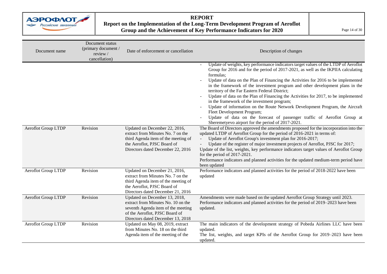

#### **REPORT Report on the Implementation of the Long-Term Development Program of Aeroflot Group and the Achievement of Key Performance Indicators for 2020** Page 14 of 30

| Document name              | Document status<br>(primary document /<br>review /<br>cancellation) | Date of enforcement or cancellation                                                                                                                                              | Description of changes                                                                                                                                                                                                                                                                                                                                                                                                                                                                                                                                                                                                                                                                                                                                                                                                                                                                                                                                                                                                                                                                                                                                                                                                                                                                                                                                     |
|----------------------------|---------------------------------------------------------------------|----------------------------------------------------------------------------------------------------------------------------------------------------------------------------------|------------------------------------------------------------------------------------------------------------------------------------------------------------------------------------------------------------------------------------------------------------------------------------------------------------------------------------------------------------------------------------------------------------------------------------------------------------------------------------------------------------------------------------------------------------------------------------------------------------------------------------------------------------------------------------------------------------------------------------------------------------------------------------------------------------------------------------------------------------------------------------------------------------------------------------------------------------------------------------------------------------------------------------------------------------------------------------------------------------------------------------------------------------------------------------------------------------------------------------------------------------------------------------------------------------------------------------------------------------|
| <b>Aeroflot Group LTDP</b> | Revision                                                            | Updated on December 22, 2016,<br>extract from Minutes No. 7 on the<br>third Agenda item of the meeting of<br>the Aeroflot, PJSC Board of<br>Directors dated December 22, 2016    | Update of weights, key performance indicators target values of the LTDP of Aeroflot<br>Group for 2016 and for the period of 2017-2021, as well as the IKPIIA calculating<br>formulas;<br>Update of data on the Plan of Financing the Activities for 2016 to be implemented<br>in the framework of the investment program and other development plans in the<br>territory of the Far Eastern Federal District;<br>Update of data on the Plan of Financing the Activities for 2017, to be implemented<br>in the framework of the investment program;<br>Update of information on the Route Network Development Program, the Aircraft<br>Fleet Development Program;<br>Update of data on the forecast of passenger traffic of Aeroflot Group at<br>Sheremetyevo airport for the period of 2017-2021.<br>The Board of Directors approved the amendments proposed for the incorporation into the<br>updated LTDP of Aeroflot Group for the period of 2016-2021 in terms of:<br>Update of Aeroflot Group's investment plan for 2016-2017;<br>Update of the register of major investment projects of Aeroflot, PJSC for 2017;<br>Update of the list, weights, key performance indicators target values of Aeroflot Group<br>for the period of 2017-2021.<br>Performance indicators and planned activities for the updated medium-term period have<br>been updated |
| <b>Aeroflot Group LTDP</b> | Revision                                                            | Updated on December 21, 2016,<br>extract from Minutes No. 7 on the<br>third Agenda item of the meeting of<br>the Aeroflot, PJSC Board of<br>Directors dated December 21, 2016    | Performance indicators and planned activities for the period of 2018-2022 have been<br>updated                                                                                                                                                                                                                                                                                                                                                                                                                                                                                                                                                                                                                                                                                                                                                                                                                                                                                                                                                                                                                                                                                                                                                                                                                                                             |
| Aeroflot Group LTDP        | Revision                                                            | Updated on December 13, 2018,<br>extract from Minutes No. 10 on the<br>seventh Agenda item of the meeting<br>of the Aeroflot, PJSC Board of<br>Directors dated December 13, 2018 | Amendments were made based on the updated Aeroflot Group Strategy until 2023.<br>Performance indicators and planned activities for the period of 2019–2023 have been<br>updated.                                                                                                                                                                                                                                                                                                                                                                                                                                                                                                                                                                                                                                                                                                                                                                                                                                                                                                                                                                                                                                                                                                                                                                           |
| Aeroflot Group LTDP        | Revision                                                            | Updated on May 08, 2019, extract<br>from Minutes No. 18 on the third<br>Agenda item of the meeting of the                                                                        | The main indicators of the development strategy of Pobeda Airlines LLC have been<br>updated.<br>The list, weights, and target KPIs of the Aeroflot Group for 2019–2023 have been<br>updated.                                                                                                                                                                                                                                                                                                                                                                                                                                                                                                                                                                                                                                                                                                                                                                                                                                                                                                                                                                                                                                                                                                                                                               |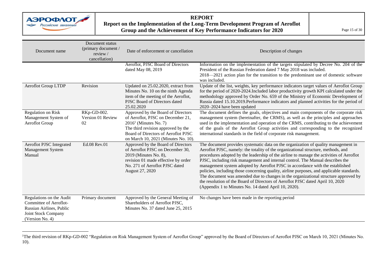

 $\overline{a}$ 

#### **REPORT Report on the Implementation of the Long-Term Development Program of Aeroflot Group and the Achievement of Key Performance Indicators for 2020** Page 15 of 30

| Document name                                                                                                            | Document status<br>(primary document /<br>review /<br>cancellation) | Date of enforcement or cancellation                                                                                                                                                                                    | Description of changes                                                                                                                                                                                                                                                                                                                                                                                                                                                                                                                                                                                                                                                                                                                                               |
|--------------------------------------------------------------------------------------------------------------------------|---------------------------------------------------------------------|------------------------------------------------------------------------------------------------------------------------------------------------------------------------------------------------------------------------|----------------------------------------------------------------------------------------------------------------------------------------------------------------------------------------------------------------------------------------------------------------------------------------------------------------------------------------------------------------------------------------------------------------------------------------------------------------------------------------------------------------------------------------------------------------------------------------------------------------------------------------------------------------------------------------------------------------------------------------------------------------------|
|                                                                                                                          |                                                                     | Aeroflot, PJSC Board of Directors<br>dated May 08, 2019                                                                                                                                                                | Information on the implementation of the targets stipulated by Decree No. 204 of the<br>President of the Russian Federation dated 7 May 2018 was included.<br>2018—2021 action plan for the transition to the predominant use of domestic software<br>was included.                                                                                                                                                                                                                                                                                                                                                                                                                                                                                                  |
| <b>Aeroflot Group LTDP</b>                                                                                               | Revision                                                            | Updated on 25.02.2020, extract from<br>Minutes No. 10 on the ninth Agenda<br>item of the meeting of the Aeroflot,<br>PJSC Board of Directors dated<br>25.02.2020                                                       | Update of the list, weights, key performance indicators target values of Aeroflot Group<br>for the period of 2020-2024. Included labor productivity growth KPI calculated under the<br>methodology approved by Order No. 659 of the Ministry of Economic Development of<br>Russia dated 15.10.2019. Performance indicators and planned activities for the period of<br>2020-2024 have been updated                                                                                                                                                                                                                                                                                                                                                                   |
| <b>Regulation on Risk</b><br>Management System of<br>Aeroflot Group                                                      | RKp-GD-002.<br>Version 01 Review<br>02                              | Approved by the Board of Directors<br>of Aeroflot, PJSC on December 21,<br>$20161$ (Minutes No. 7)<br>The third revision approved by the<br>Board of Directors of Aeroflot PJSC<br>on March 10, 2021 (Minutes No. 10). | The document defines the goals, objectives and main components of the corporate risk<br>management system (hereinafter, the CRMS), as well as the principles and approaches<br>used in the implementation and operation of the CRMS, contributing to the achievement<br>of the goals of the Aeroflot Group activities and corresponding to the recognized<br>international standards in the field of corporate risk management.                                                                                                                                                                                                                                                                                                                                      |
| Aeroflot PJSC Integrated<br>Management System<br>Manual                                                                  | Ed.08 Rev.01                                                        | Approved by the Board of Directors<br>of Aeroflot PJSC on December 30,<br>2019 (Minutes No. 8),<br>revision 01 made effective by order<br>No. 271 of Aeroflot PJSC dated<br>August 27, 2020                            | The document provides systematic data on the organization of quality management in<br>Aeroflot PJSC, namely: the totality of the organizational structure, methods, and<br>procedures adopted by the leadership of the airline to manage the activities of Aeroflot<br>PJSC, including risk management and internal control. The Manual describes the<br>management system adopted by Aeroflot PJSC in accordance with the established<br>policies, including those concerning quality, airline purposes, and applicable standards.<br>The document was amended due to changes in the organizational structure approved by<br>the resolution of the Board of Directors of Aeroflot PJSC dated April 10, 2020<br>(Appendix 1 to Minutes No. 14 dated April 10, 2020). |
| Regulations on the Audit<br>Committee of Aeroflot-<br>Russian Airlines, Public<br>Joint Stock Company<br>(Version No. 4) | Primary document                                                    | Approved by the General Meeting of<br>Shareholders of Aeroflot PJSC,<br>Minutes No. 37 dated June 25, 2015                                                                                                             | No changes have been made in the reporting period                                                                                                                                                                                                                                                                                                                                                                                                                                                                                                                                                                                                                                                                                                                    |

<sup>&</sup>lt;sup>1</sup>The third revision of RKp-GD-002 "Regulation on Risk Management System of Aeroflot Group" approved by the Board of Directors of Aeroflot PJSC on March 10, 2021 (Minutes No. 10).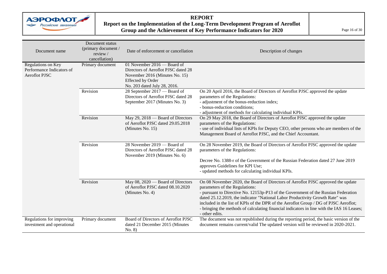

#### **REPORT Report on the Implementation of the Long-Term Development Program of Aeroflot Group and the Achievement of Key Performance Indicators for 2020** Page 16 of 30

| Document name                                                           | Document status<br>(primary document /<br>review/<br>cancellation) | Date of enforcement or cancellation                                                                                                                              | Description of changes                                                                                                                                                                                                                                                                                                                                                                                                                                                                            |
|-------------------------------------------------------------------------|--------------------------------------------------------------------|------------------------------------------------------------------------------------------------------------------------------------------------------------------|---------------------------------------------------------------------------------------------------------------------------------------------------------------------------------------------------------------------------------------------------------------------------------------------------------------------------------------------------------------------------------------------------------------------------------------------------------------------------------------------------|
| Regulations on Key<br>Performance Indicators of<br><b>Aeroflot PJSC</b> | Primary document                                                   | 01 November 2016 — Board of<br>Directors of Aeroflot PJSC dated 28<br>November 2016 (Minutes No. 15)<br><b>Effected by Order</b><br>No. 203 dated July 28, 2016. |                                                                                                                                                                                                                                                                                                                                                                                                                                                                                                   |
|                                                                         | Revision                                                           | 28 September 2017 — Board of<br>Directors of Aeroflot PJSC dated 28<br>September 2017 (Minutes No. 3)                                                            | On 20 April 2016, the Board of Directors of Aeroflot PJSC approved the update<br>parameters of the Regulations:<br>- adjustment of the bonus-reduction index;<br>- bonus-reduction conditions;<br>- adjustment of methods for calculating individual KPIs.                                                                                                                                                                                                                                        |
|                                                                         | Revision                                                           | May 29, 2018 - Board of Directors<br>of Aeroflot PJSC dated 29.05.2018<br>(Minutes No. 15)                                                                       | On 29 May 2018, the Board of Directors of Aeroflot PJSC approved the update<br>parameters of the Regulations:<br>- use of individual lists of KPIs for Deputy CEO, other persons who are members of the<br>Management Board of Aeroflot PJSC, and the Chief Accountant.                                                                                                                                                                                                                           |
|                                                                         | Revision                                                           | 28 November $2019$ — Board of<br>Directors of Aeroflot PJSC dated 28<br>November 2019 (Minutes No. 6)                                                            | On 28 November 2019, the Board of Directors of Aeroflot PJSC approved the update<br>parameters of the Regulations:                                                                                                                                                                                                                                                                                                                                                                                |
|                                                                         |                                                                    |                                                                                                                                                                  | Decree No. 1388-r of the Government of the Russian Federation dated 27 June 2019<br>approves Guidelines for KPI Use;<br>- updated methods for calculating individual KPIs.                                                                                                                                                                                                                                                                                                                        |
|                                                                         | Revision                                                           | May 08, 2020 — Board of Directors<br>of Aeroflot PJSC dated 08.10.2020<br>(Minutes No. 4)                                                                        | On 08 November 2020, the Board of Directors of Aeroflot PJSC approved the update<br>parameters of the Regulations:<br>- pursuant to Directive No. 12153p-P13 of the Government of the Russian Federation<br>dated 25.12.2019, the indicator "National Labor Productivity Growth Rate" was<br>included in the list of KPIs of the DPR of the Aeroflot Group / DG of PJSC Aeroflot;<br>- bringing the methods of calculating financial indicators in line with the IAS 16 Leases;<br>- other edits. |
| Regulations for improving<br>investment and operational                 | Primary document                                                   | Board of Directors of Aeroflot PJSC<br>dated 21 December 2015 (Minutes<br>No. 8)                                                                                 | The document was not republished during the reporting period, the basic version of the<br>document remains current/valid The updated version will be reviewed in 2020-2021.                                                                                                                                                                                                                                                                                                                       |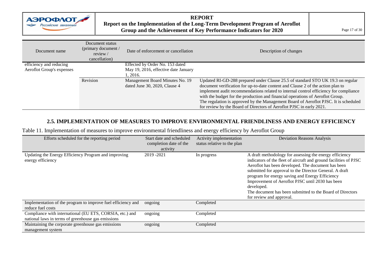

#### **REPORT Report on the Implementation of the Long-Term Development Program of Aeroflot**  Group and the Achievement of Key Performance Indicators for 2020

| Document name             | Document status<br>(primary document /<br>review /<br>cancellation) | Date of enforcement or cancellation                              | Description of changes                                                                                                                                                                                                                                                                                                                                                                                                                                                                                        |
|---------------------------|---------------------------------------------------------------------|------------------------------------------------------------------|---------------------------------------------------------------------------------------------------------------------------------------------------------------------------------------------------------------------------------------------------------------------------------------------------------------------------------------------------------------------------------------------------------------------------------------------------------------------------------------------------------------|
| efficiency and reducing   |                                                                     | Effected by Order No. 153 dated                                  |                                                                                                                                                                                                                                                                                                                                                                                                                                                                                                               |
| Aeroflot Group's expenses |                                                                     | May 19, 2016, effective date January<br>1, 2016.                 |                                                                                                                                                                                                                                                                                                                                                                                                                                                                                                               |
|                           | Revision                                                            | Management Board Minutes No. 19<br>dated June 30, 2020, Clause 4 | Updated RI-GD-288 prepared under Clause 25.5 of standard STO UK 19.3 on regular<br>document verification for up-to-date content and Clause 2 of the action plan to<br>implement audit recommendations related to internal control efficiency for compliance<br>with the budget for the production and financial operations of Aeroflot Group.<br>The regulation is approved by the Management Board of Aeroflot PJSC. It is scheduled<br>for review by the Board of Directors of Aeroflot PJSC in early 2021. |

#### **2.5. IMPLEMENTATION OF MEASURES TO IMPROVE ENVIRONMENTAL FRIENDLINESS AND ENERGY EFFICIENCY**

Table 11. Implementation of measures to improve environmental friendliness and energy efficiency by Aeroflot Group

| Efforts scheduled for the reporting period                                                                     | Start date and scheduled<br>completion date of the<br>activity | Activity implementation<br>status relative to the plan | <b>Deviation Reasons Analysis</b>                                                                                                                                                                                                                                                                                                                                                                                                                           |
|----------------------------------------------------------------------------------------------------------------|----------------------------------------------------------------|--------------------------------------------------------|-------------------------------------------------------------------------------------------------------------------------------------------------------------------------------------------------------------------------------------------------------------------------------------------------------------------------------------------------------------------------------------------------------------------------------------------------------------|
| Updating the Energy Efficiency Program and improving<br>energy efficiency                                      | 2019 - 2021                                                    | In progress                                            | A draft methodology for assessing the energy efficiency<br>indicators of the fleet of aircraft and ground facilities of PJSC<br>Aeroflot has been developed. The document has been<br>submitted for approval to the Director General. A draft<br>program for energy saving and Energy Efficiency<br>Improvement of Aeroflot PJSC until 2030 has been<br>developed.<br>The document has been submitted to the Board of Directors<br>for review and approval. |
| Implementation of the program to improve fuel efficiency and<br>reduce fuel costs                              | ongoing                                                        | Completed                                              |                                                                                                                                                                                                                                                                                                                                                                                                                                                             |
| Compliance with international (EU ETS, CORSIA, etc.) and<br>national laws in terms of greenhouse gas emissions | ongoing                                                        | Completed                                              |                                                                                                                                                                                                                                                                                                                                                                                                                                                             |
| Maintaining the corporate greenhouse gas emissions<br>management system                                        | ongoing                                                        | Completed                                              |                                                                                                                                                                                                                                                                                                                                                                                                                                                             |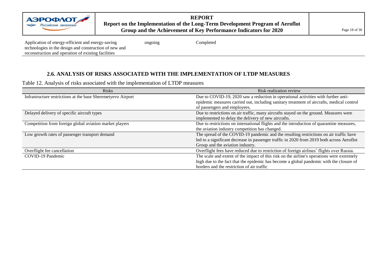Application of energy-efficient and energy-saving technologies in the design and construction of new and reconstruction and operation of existing facilities

ongoing Completed

#### **2.6. ANALYSIS OF RISKS ASSOCIATED WITH THE IMPLEMENTATION OF LTDP MEASURES**

Table 12. Analysis of risks associated with the implementation of LTDP measures

| <b>Risks</b>                                                 | Risk realization review                                                                    |
|--------------------------------------------------------------|--------------------------------------------------------------------------------------------|
| Infrastructure restrictions at the base Sheremetyevo Airport | Due to COVID-19, 2020 saw a reduction in operational activities with further anti-         |
|                                                              | epidemic measures carried out, including sanitary treatment of aircrafts, medical control  |
|                                                              | of passengers and employees.                                                               |
| Delayed delivery of specific aircraft types                  | Due to restrictions on air traffic, many aircrafts stayed on the ground. Measures were     |
|                                                              | implemented to delay the delivery of new aircrafts.                                        |
| Competition from foreign global aviation market players      | Due to restrictions on international flights and the introduction of quarantine measures,  |
|                                                              | the aviation industry competition has changed.                                             |
| Low growth rates of passenger transport demand               | The spread of the COVID-19 pandemic and the resulting restrictions on air traffic have     |
|                                                              | led to a significant decrease in passenger traffic in 2020 from 2019 both across Aeroflot  |
|                                                              | Group and the aviation industry.                                                           |
| Overflight fee cancellation                                  | Overflight fees have reduced due to restriction of foreign airlines' flights over Russia.  |
| COVID-19 Pandemic                                            | The scale and extent of the impact of this risk on the airline's operations were extremely |
|                                                              | high due to the fact that the epidemic has become a global pandemic with the closure of    |
|                                                              | borders and the restriction of air traffic                                                 |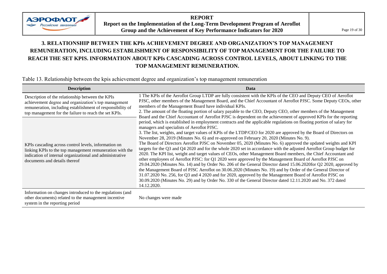

**REPORT Report on the Implementation of the Long-Term Development Program of Aeroflot Group and the Achievement of Key Performance Indicators for 2020** Page 19 of 30

### <span id="page-18-0"></span>**3. RELATIONSHIP BETWEEN THE KPIs ACHIEVEMENT DEGREE AND ORGANIZATION'S TOP MANAGEMENT REMUNERATION, INCLUDING ESTABLISHMENT OF RESPONSIBILITY OF TOP MANAGEMENT FOR THE FAILURE TO REACH THE SET KPIS. INFORMATION ABOUT KPIs CASCADING ACROSS CONTROL LEVELS, ABOUT LINKING TO THE TOP MANAGEMENT REMUNERATION.**

Table 13. Relationship between the kpis achievement degree and organization's top management remuneration

| <b>Description</b>                                                                                                                                                                                                              | Data                                                                                                                                                                                                                                                                                                                                                                                                                                                                                                                                                                                                                                                                                                                                                                                                                                                                                                                                                                                                                                                                                                                                                                                                                                                                                                                                      |
|---------------------------------------------------------------------------------------------------------------------------------------------------------------------------------------------------------------------------------|-------------------------------------------------------------------------------------------------------------------------------------------------------------------------------------------------------------------------------------------------------------------------------------------------------------------------------------------------------------------------------------------------------------------------------------------------------------------------------------------------------------------------------------------------------------------------------------------------------------------------------------------------------------------------------------------------------------------------------------------------------------------------------------------------------------------------------------------------------------------------------------------------------------------------------------------------------------------------------------------------------------------------------------------------------------------------------------------------------------------------------------------------------------------------------------------------------------------------------------------------------------------------------------------------------------------------------------------|
| Description of the relationship between the KPIs<br>achievement degree and organization's top management<br>remuneration, including establishment of responsibility of<br>top management for the failure to reach the set KPIs. | 1 The KPIs of the Aeroflot Group LTDP are fully consistent with the KPIs of the CEO and Deputy CEO of Aeroflot<br>PJSC, other members of the Management Board, and the Chief Accountant of Aeroflot PJSC. Some Deputy CEOs, other<br>members of the Management Board have individual KPIs.<br>2. The amount of the floating portion of salary payable to the CEO, Deputy CEO, other members of the Management<br>Board and the Chief Accountant of Aeroflot PJSC is dependent on the achievement of approved KPIs for the reporting                                                                                                                                                                                                                                                                                                                                                                                                                                                                                                                                                                                                                                                                                                                                                                                                       |
| KPIs cascading across control levels, information on<br>linking KPIs to the top management remuneration with the<br>indication of internal organizational and administrative<br>documents and details thereof                   | period, which is established in employment contracts and the applicable regulations on floating portion of salary for<br>managers and specialists of Aeroflot PJSC.<br>3. The list, weights, and target values of KPIs of the LTDP/CEO for 2020 are approved by the Board of Directors on<br>November 28, 2019 (Minutes No. 6) and re-approved on February 20, 2020 (Minutes No. 9).<br>The Board of Directors Aeroflot PJSC on November 05, 2020 (Minutes No. 6) approved the updated weights and KPI<br>targets for the Q3 and Q4 2020 and for the whole 2020 set in accordance with the adjusted Aeroflot Group budget for<br>2020. The KPI list, weight and target values of CEOs, other Management Board members, the Chief Accountant and<br>other employees of Aeroflot PJSC: for Q1 2020 were approved by the Management Board of Aeroflot PJSC on<br>29.04.2020 (Minutes No. 14) and by Order No. 206 of the General Director dated 15.06.2020for Q2 2020, approved by<br>the Management Board of PJSC Aeroflot on 30.06.2020 (Minutes No. 19) and by Order of the General Director of<br>31.07.2020 No. 256, for Q3 and 4 2020 and for 2020, approved by the Management Board of Aeroflot PJSC on<br>30.09.2020 (Minutes No. 29) and by Order No. 330 of the General Director dated 12.11.2020 and No. 372 dated<br>14.12.2020. |
| Information on changes introduced to the regulations (and<br>other documents) related to the management incentive<br>system in the reporting period                                                                             | No changes were made                                                                                                                                                                                                                                                                                                                                                                                                                                                                                                                                                                                                                                                                                                                                                                                                                                                                                                                                                                                                                                                                                                                                                                                                                                                                                                                      |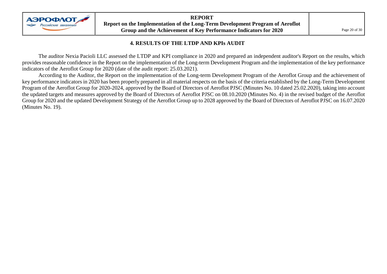

#### **4. RESULTS OF THE LTDP AND KPIs AUDIT**

<span id="page-19-0"></span>The auditor Nexia Pacioli LLC assessed the LTDP and KPI compliance in 2020 and prepared an independent auditor's Report on the results, which provides reasonable confidence in the Report on the implementation of the Long-term Development Program and the implementation of the key performance indicators of the Aeroflot Group for 2020 (date of the audit report: 25.03.2021).

According to the Auditor, the Report on the implementation of the Long-term Development Program of the Aeroflot Group and the achievement of key performance indicators in 2020 has been properly prepared in all material respects on the basis of the criteria established by the Long-Term Development Program of the Aeroflot Group for 2020-2024, approved by the Board of Directors of Aeroflot PJSC (Minutes No. 10 dated 25.02.2020), taking into account the updated targets and measures approved by the Board of Directors of Aeroflot PJSC on 08.10.2020 (Minutes No. 4) in the revised budget of the Aeroflot Group for 2020 and the updated Development Strategy of the Aeroflot Group up to 2028 approved by the Board of Directors of Aeroflot PJSC on 16.07.2020 (Minutes No. 19).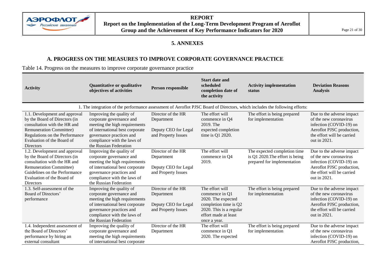

**REPORT Report on the Implementation of the Long-Term Development Program of Aeroflot Group and the Achievement of Key Performance Indicators for 2020** Page 21 of 30

#### **5. ANNEXES**

#### **A. PROGRESS ON THE MEASURES TO IMPROVE CORPORATE GOVERNANCE PRACTICE**

<span id="page-20-0"></span>Table 14. Progress on the measures to improve corporate governance practice

| <b>Activity</b>                                                                                                                                                                                               | Quantitative or qualitative<br>objectives of activities                                                                                                                                                       | Person responsible                                                              | <b>Start date and</b><br>scheduled<br>completion date of<br>the activity                                                                            | <b>Activity implementation</b><br>status                                                       | <b>Deviation Reasons</b><br><b>Analysis</b>                                                                                                               |  |  |  |  |
|---------------------------------------------------------------------------------------------------------------------------------------------------------------------------------------------------------------|---------------------------------------------------------------------------------------------------------------------------------------------------------------------------------------------------------------|---------------------------------------------------------------------------------|-----------------------------------------------------------------------------------------------------------------------------------------------------|------------------------------------------------------------------------------------------------|-----------------------------------------------------------------------------------------------------------------------------------------------------------|--|--|--|--|
|                                                                                                                                                                                                               | 1. The integration of the performance assessment of Aeroflot PJSC Board of Directors, which includes the following efforts:                                                                                   |                                                                                 |                                                                                                                                                     |                                                                                                |                                                                                                                                                           |  |  |  |  |
| 1.1. Development and approval<br>by the Board of Directors (in<br>consultation with the HR and<br><b>Remuneration Committee)</b><br>Regulations on the Performance<br>Evaluation of the Board of<br>Directors | Improving the quality of<br>corporate governance and<br>meeting the high requirements<br>of international best corporate<br>governance practices and<br>compliance with the laws of<br>the Russian Federation | Director of the HR<br>Department<br>Deputy CEO for Legal<br>and Property Issues | The effort will<br>commence in Q4<br>2019. The<br>expected completion<br>time is Q1 2020.                                                           | The effort is being prepared<br>for implementation                                             | Due to the adverse impact<br>of the new coronavirus<br>infection (COVID-19) on<br>Aeroflot PJSC production,<br>the effort will be carried<br>out in 2021. |  |  |  |  |
| 1.2. Development and approval<br>by the Board of Directors (in<br>consultation with the HR and<br><b>Remuneration Committee)</b><br>Guidelines on the Performance<br>Evaluation of the Board of<br>Directors  | Improving the quality of<br>corporate governance and<br>meeting the high requirements<br>of international best corporate<br>governance practices and<br>compliance with the laws of<br>the Russian Federation | Director of the HR<br>Department<br>Deputy CEO for Legal<br>and Property Issues | The effort will<br>commence in Q4<br>2019.                                                                                                          | The expected completion time<br>is Q1 2020. The effort is being<br>prepared for implementation | Due to the adverse impact<br>of the new coronavirus<br>infection (COVID-19) on<br>Aeroflot PJSC production,<br>the effort will be carried<br>out in 2021. |  |  |  |  |
| 1.3. Self-assessment of the<br>Board of Directors'<br>performance                                                                                                                                             | Improving the quality of<br>corporate governance and<br>meeting the high requirements<br>of international best corporate<br>governance practices and<br>compliance with the laws of<br>the Russian Federation | Director of the HR<br>Department<br>Deputy CEO for Legal<br>and Property Issues | The effort will<br>commence in Q1<br>2020. The expected<br>completion time is Q2<br>2020. This is a regular<br>effort made at least<br>once a year. | The effort is being prepared<br>for implementation                                             | Due to the adverse impact<br>of the new coronavirus<br>infection (COVID-19) on<br>Aeroflot PJSC production,<br>the effort will be carried<br>out in 2021. |  |  |  |  |
| 1.4. Independent assessment of<br>the Board of Directors'<br>performance by hiring an<br>external consultant                                                                                                  | Improving the quality of<br>corporate governance and<br>meeting the high requirements<br>of international best corporate                                                                                      | Director of the HR<br>Department                                                | The effort will<br>commence in Q1<br>2020. The expected                                                                                             | The effort is being prepared<br>for implementation                                             | Due to the adverse impact<br>of the new coronavirus<br>infection (COVID-19) on<br>Aeroflot PJSC production,                                               |  |  |  |  |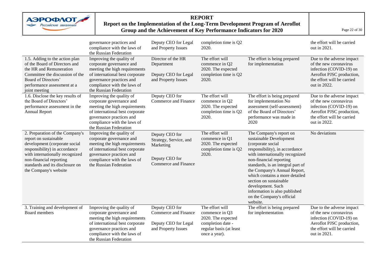

#### **REPORT Report on the Implementation of the Long-Term Development Program of Aeroflot Group and the Achievement of Key Performance Indicators for 2020** Page 22 of 30

|                                                                                                                                                                                                                                                      | governance practices and<br>compliance with the laws of<br>the Russian Federation                                                                                                                             | Deputy CEO for Legal<br>and Property Issues                                                     | completion time is Q2<br>2020.                                                                                           |                                                                                                                                                                                                                                                                                                                                                                                                         | the effort will be carried<br>out in 2021.                                                                                                                |
|------------------------------------------------------------------------------------------------------------------------------------------------------------------------------------------------------------------------------------------------------|---------------------------------------------------------------------------------------------------------------------------------------------------------------------------------------------------------------|-------------------------------------------------------------------------------------------------|--------------------------------------------------------------------------------------------------------------------------|---------------------------------------------------------------------------------------------------------------------------------------------------------------------------------------------------------------------------------------------------------------------------------------------------------------------------------------------------------------------------------------------------------|-----------------------------------------------------------------------------------------------------------------------------------------------------------|
| 1.5. Adding to the action plan<br>of the Board of Directors and<br>the HR and Remuneration<br>Committee the discussion of the<br>Board of Directors'<br>performance assessment at a<br>joint meeting                                                 | Improving the quality of<br>corporate governance and<br>meeting the high requirements<br>of international best corporate<br>governance practices and<br>compliance with the laws of<br>the Russian Federation | Director of the HR<br>Department<br>Deputy CEO for Legal<br>and Property Issues                 | The effort will<br>commence in Q2<br>2020. The expected<br>completion time is Q2<br>2020.                                | The effort is being prepared<br>for implementation                                                                                                                                                                                                                                                                                                                                                      | Due to the adverse impact<br>of the new coronavirus<br>infection (COVID-19) on<br>Aeroflot PJSC production,<br>the effort will be carried<br>out in 2022. |
| 1.6. Disclose the key results of<br>the Board of Directors'<br>performance assessment in the<br>Annual Report                                                                                                                                        | Improving the quality of<br>corporate governance and<br>meeting the high requirements<br>of international best corporate<br>governance practices and<br>compliance with the laws of<br>the Russian Federation | Deputy CEO for<br>Commerce and Finance                                                          | The effort will<br>commence in Q2<br>2020. The expected<br>completion time is Q2<br>2020.                                | The effort is being prepared<br>for implementation No<br>assessment (self-assessment)<br>of the Board of Directors'<br>performance was made in<br>2020                                                                                                                                                                                                                                                  | Due to the adverse impact<br>of the new coronavirus<br>infection (COVID-19) on<br>Aeroflot PJSC production,<br>the effort will be carried<br>out in 2022. |
| 2. Preparation of the Company's<br>report on sustainable<br>development (corporate social<br>responsibility) in accordance<br>with internationally recognized<br>non-financial reporting<br>standards and its disclosure on<br>the Company's website | Improving the quality of<br>corporate governance and<br>meeting the high requirements<br>of international best corporate<br>governance practices and<br>compliance with the laws of<br>the Russian Federation | Deputy CEO for<br>Strategy, Service, and<br>Marketing<br>Deputy CEO for<br>Commerce and Finance | The effort will<br>commence in Q1<br>2020. The expected<br>completion time is Q2<br>2020.                                | The Company's report on<br>sustainable Development<br>(corporate social<br>responsibility), in accordance<br>with internationally recognized<br>non-financial reporting<br>standards, is an integral part of<br>the Company's Annual Report,<br>which contains a more detailed<br>section on sustainable<br>development. Such<br>information is also published<br>on the Company's official<br>website. | No deviations                                                                                                                                             |
| 3. Training and development of<br>Board members                                                                                                                                                                                                      | Improving the quality of<br>corporate governance and<br>meeting the high requirements<br>of international best corporate<br>governance practices and<br>compliance with the laws of<br>the Russian Federation | Deputy CEO for<br>Commerce and Finance<br>Deputy CEO for Legal<br>and Property Issues           | The effort will<br>commence in Q3<br>2020. The expected<br>completion date -<br>regular basis (at least<br>once a year). | The effort is being prepared<br>for implementation                                                                                                                                                                                                                                                                                                                                                      | Due to the adverse impact<br>of the new coronavirus<br>infection (COVID-19) on<br>Aeroflot PJSC production,<br>the effort will be carried<br>out in 2021. |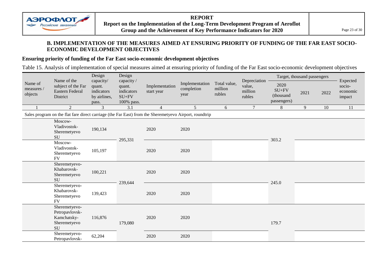

#### **B. IMPLEMENTATION OF THE MEASURES AIMED AT ENSURING PRIORITY OF FUNDING OF THE FAR EAST SOCIO-ECONOMIC DEVELOPMENT OBJECTIVES**

#### **Ensuring priority of funding of the Far East socio-economic development objectives**

Table 15. Analysis of implementation of special measures aimed at ensuring priority of funding of the Far East socio-economic development objectives

| Name of               | Name of the<br>subject of the Far<br>Eastern Federal<br>District                                       | Design<br>capacity/<br>quant.       | Design<br>capacity /<br>Implementation<br>quant. |                | Implementation     | Total value,      | Depreciation<br>value, | 2020                                | Target, thousand passengers |      | Expected<br>socio- |
|-----------------------|--------------------------------------------------------------------------------------------------------|-------------------------------------|--------------------------------------------------|----------------|--------------------|-------------------|------------------------|-------------------------------------|-----------------------------|------|--------------------|
| measures /<br>objects |                                                                                                        | indicators<br>by airlines,<br>pass. | indicators<br>$SU+FV$<br>100% pass.              | start year     | completion<br>year | million<br>rubles | million<br>rubles      | $SU+FV$<br>(thousand<br>passengers) | 2021                        | 2022 | economic<br>impact |
|                       | 2                                                                                                      | 3                                   | 3.1                                              | $\overline{4}$ | 5 <sup>5</sup>     | 6                 | $\overline{7}$         | 8                                   | 9                           | 10   | 11                 |
|                       | Sales program on the flat fare direct carriage (the Far East) from the Sheremetyevo Airport, roundtrip |                                     |                                                  |                |                    |                   |                        |                                     |                             |      |                    |
|                       | Moscow-<br>Vladivostok-<br>Sheremetyevo<br><b>SU</b>                                                   | 190,134                             | 295,331                                          | 2020           | 2020               |                   |                        | 303.2                               |                             |      |                    |
|                       | Moscow-<br>Vladivostok-<br>Sheremetyevo<br><b>FV</b>                                                   | 105,197                             |                                                  | 2020           | 2020               |                   |                        |                                     |                             |      |                    |
|                       | Sheremetyevo-<br>Khabarovsk-<br>Sheremetyevo<br>SU                                                     | 100,221                             | 239,644                                          | 2020           | 2020               |                   |                        | 245.0                               |                             |      |                    |
|                       | Sheremetyevo-<br>Khabarovsk-<br>Sheremetyevo<br><b>FV</b>                                              | 139,423                             |                                                  | 2020           | 2020               |                   |                        |                                     |                             |      |                    |
|                       | Sheremetyevo-<br>Petropavlovsk-<br>Kamchatsky-<br>Sheremetyevo<br>SU                                   | 116,876                             | 179,080                                          | 2020           | 2020               |                   |                        | 179.7                               |                             |      |                    |
|                       | Sheremetyevo-<br>Petropavlovsk-                                                                        | 62,204                              |                                                  | 2020           | 2020               |                   |                        |                                     |                             |      |                    |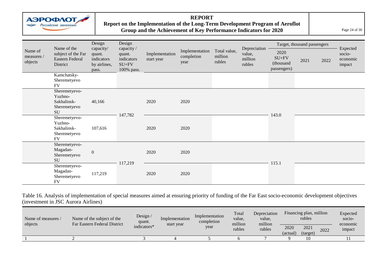

#### **REPORT Report on the Implementation of the Long-Term Development Program of Aeroflot**  Group and the Achievement of Key Performance Indicators for 2020 **Page 24 of 30**

|                                  |                                                                      | Design                                                     | Design                                                      |                              |                                      |                                   |                                             |                                             | Target, thousand passengers |      | Expected                     |
|----------------------------------|----------------------------------------------------------------------|------------------------------------------------------------|-------------------------------------------------------------|------------------------------|--------------------------------------|-----------------------------------|---------------------------------------------|---------------------------------------------|-----------------------------|------|------------------------------|
| Name of<br>measures /<br>objects | Name of the<br>subject of the Far<br>Eastern Federal<br>District     | capacity/<br>quant.<br>indicators<br>by airlines,<br>pass. | capacity /<br>quant.<br>indicators<br>$SU+FV$<br>100% pass. | Implementation<br>start year | Implementation<br>completion<br>year | Total value,<br>million<br>rubles | Depreciation<br>value,<br>million<br>rubles | 2020<br>$SU+FV$<br>(thousand<br>passengers) | 2021                        | 2022 | socio-<br>economic<br>impact |
|                                  | Kamchatsky-<br>Sheremetyevo<br><b>FV</b>                             |                                                            |                                                             |                              |                                      |                                   |                                             |                                             |                             |      |                              |
|                                  | Sheremetyevo-<br>Yuzhno-<br>Sakhalinsk-<br>Sheremetyevo<br>SU        | 40,166                                                     |                                                             | 2020                         | 2020                                 |                                   |                                             |                                             |                             |      |                              |
|                                  | Sheremetyevo-<br>Yuzhno-<br>Sakhalinsk-<br>Sheremetyevo<br><b>FV</b> | 107,616                                                    | 147,782                                                     | 2020                         | 2020                                 |                                   |                                             | 143.0                                       |                             |      |                              |
|                                  | Sheremetyevo-<br>Magadan-<br>Sheremetyevo<br>SU                      | $\boldsymbol{0}$                                           | 117,219                                                     | 2020                         | 2020                                 |                                   |                                             |                                             |                             |      |                              |
|                                  | Sheremetyevo-<br>Magadan-<br>Sheremetyevo<br><b>FV</b>               | 117,219                                                    |                                                             | 2020                         | 2020                                 |                                   |                                             | 115.1                                       |                             |      |                              |

Table 16. Analysis of implementation of special measures aimed at ensuring priority of funding of the Far East socio-economic development objectives (investment in JSC Aurora Airlines)

| Name of measures<br>objects | Name of the subject of the<br>Far Eastern Federal District | Design /<br>quant. | Implementation<br>start year | Implementation<br>completion | Total<br>value.<br>million | Depreciation<br>value.<br>million | Financing plan, million<br>rubles |              | Expected<br>socio-<br>economic |
|-----------------------------|------------------------------------------------------------|--------------------|------------------------------|------------------------------|----------------------------|-----------------------------------|-----------------------------------|--------------|--------------------------------|
|                             |                                                            | indicators*        |                              | year                         | rubles                     | rubles                            | 2020                              | 2021<br>2022 | impact                         |
|                             |                                                            |                    |                              |                              |                            |                                   | (actual)                          | (target)     |                                |
|                             |                                                            |                    |                              |                              |                            |                                   |                                   | 10           |                                |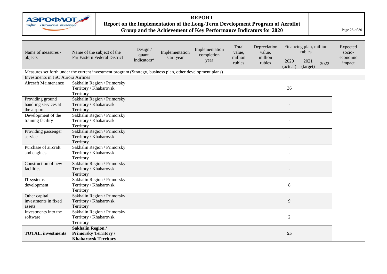

### **REPORT**

#### **Report on the Implementation of the Long-Term Development Program of Aeroflot Group and the Achievement of Key Performance Indicators for 2020** Page 25 of 30

| Name of measures /                        | Name of the subject of the                                                                                 | Design /<br>quant.        | Implementation | Implementation<br>completion | Total<br>value,<br>million | Depreciation<br>value,<br>million | Financing plan, million<br>rubles |                  |      | Expected<br>socio- |
|-------------------------------------------|------------------------------------------------------------------------------------------------------------|---------------------------|----------------|------------------------------|----------------------------|-----------------------------------|-----------------------------------|------------------|------|--------------------|
| objects                                   | Far Eastern Federal District                                                                               | start year<br>indicators* |                | year                         | rubles                     |                                   | 2020<br>(actual)                  | 2021<br>(target) | 2022 | economic<br>impact |
|                                           | Measures set forth under the current investment program (Strategy, business plan, other development plans) |                           |                |                              |                            |                                   |                                   |                  |      |                    |
| <b>Investments in JSC Aurora Airlines</b> |                                                                                                            |                           |                |                              |                            |                                   |                                   |                  |      |                    |
| Aircraft Maintenance                      | Sakhalin Region / Primorsky                                                                                |                           |                |                              |                            |                                   |                                   |                  |      |                    |
|                                           | Territory / Khabarovsk                                                                                     |                           |                |                              |                            |                                   | 36                                |                  |      |                    |
|                                           | Territory                                                                                                  |                           |                |                              |                            |                                   |                                   |                  |      |                    |
| Providing ground                          | Sakhalin Region / Primorsky                                                                                |                           |                |                              |                            |                                   |                                   |                  |      |                    |
| handling services at                      | Territory / Khabarovsk                                                                                     |                           |                |                              |                            |                                   |                                   |                  |      |                    |
| the airport                               | Territory                                                                                                  |                           |                |                              |                            |                                   |                                   |                  |      |                    |
| Development of the                        | Sakhalin Region / Primorsky                                                                                |                           |                |                              |                            |                                   |                                   |                  |      |                    |
| training facility                         | Territory / Khabarovsk                                                                                     |                           |                |                              |                            |                                   |                                   |                  |      |                    |
|                                           | Territory                                                                                                  |                           |                |                              |                            |                                   |                                   |                  |      |                    |
| Providing passenger                       | Sakhalin Region / Primorsky                                                                                |                           |                |                              |                            |                                   |                                   |                  |      |                    |
| service                                   | Territory / Khabarovsk                                                                                     |                           |                |                              |                            |                                   |                                   |                  |      |                    |
|                                           | Territory                                                                                                  |                           |                |                              |                            |                                   |                                   |                  |      |                    |
| Purchase of aircraft                      | Sakhalin Region / Primorsky                                                                                |                           |                |                              |                            |                                   |                                   |                  |      |                    |
| and engines                               | Territory / Khabarovsk                                                                                     |                           |                |                              |                            |                                   |                                   |                  |      |                    |
|                                           | Territory                                                                                                  |                           |                |                              |                            |                                   |                                   |                  |      |                    |
| Construction of new                       | Sakhalin Region / Primorsky                                                                                |                           |                |                              |                            |                                   |                                   |                  |      |                    |
| facilities                                | Territory / Khabarovsk                                                                                     |                           |                |                              |                            |                                   |                                   |                  |      |                    |
|                                           | Territory                                                                                                  |                           |                |                              |                            |                                   |                                   |                  |      |                    |
| IT systems                                | Sakhalin Region / Primorsky                                                                                |                           |                |                              |                            |                                   |                                   |                  |      |                    |
| development                               | Territory / Khabarovsk                                                                                     |                           |                |                              |                            |                                   | $\,8\,$                           |                  |      |                    |
|                                           | Territory                                                                                                  |                           |                |                              |                            |                                   |                                   |                  |      |                    |
| Other capital                             | Sakhalin Region / Primorsky                                                                                |                           |                |                              |                            |                                   |                                   |                  |      |                    |
| investments in fixed                      | Territory / Khabarovsk                                                                                     |                           |                |                              |                            |                                   | $\overline{9}$                    |                  |      |                    |
| assets                                    | Territory                                                                                                  |                           |                |                              |                            |                                   |                                   |                  |      |                    |
| Investments into the                      | Sakhalin Region / Primorsky                                                                                |                           |                |                              |                            |                                   |                                   |                  |      |                    |
| software                                  | Territory / Khabarovsk                                                                                     |                           |                |                              |                            |                                   | $\sqrt{2}$                        |                  |      |                    |
|                                           | Territory                                                                                                  |                           |                |                              |                            |                                   |                                   |                  |      |                    |
| <b>TOTAL, investments</b>                 | <b>Sakhalin Region /</b><br><b>Primorsky Territory /</b>                                                   |                           |                |                              |                            |                                   | 55                                |                  |      |                    |
|                                           |                                                                                                            |                           |                |                              |                            |                                   |                                   |                  |      |                    |
|                                           | <b>Khabarovsk Territory</b>                                                                                |                           |                |                              |                            |                                   |                                   |                  |      |                    |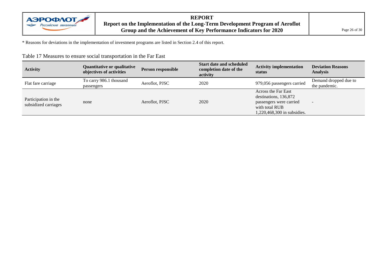

#### **REPORT Report on the Implementation of the Long-Term Development Program of Aeroflot Group and the Achievement of Key Performance Indicators for 2020** Page 26 of 30

\* Reasons for deviations in the implementation of investment programs are listed in Section 2.4 of this report.

| <b>Activity</b>                              | Quantitative or qualitative<br>objectives of activities | Person responsible | <b>Start date and scheduled</b><br>completion date of the<br>activity | <b>Activity implementation</b><br>status                                                                                 | <b>Deviation Reasons</b><br><b>Analysis</b> |
|----------------------------------------------|---------------------------------------------------------|--------------------|-----------------------------------------------------------------------|--------------------------------------------------------------------------------------------------------------------------|---------------------------------------------|
| Flat fare carriage                           | To carry 986.1 thousand<br>passengers                   | Aeroflot, PJSC     | 2020                                                                  | 979,056 passengers carried                                                                                               | Demand dropped due to<br>the pandemic.      |
| Participation in the<br>subsidized carriages | none                                                    | Aeroflot, PJSC     | 2020                                                                  | Across the Far East<br>destinations, 136,872<br>passengers were carried<br>with total RUB<br>1,220,468,300 in subsidies. | $\overline{\phantom{a}}$                    |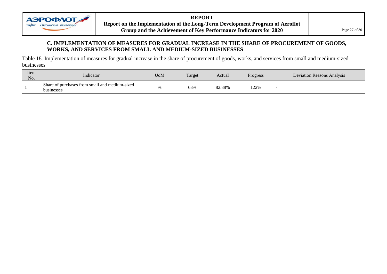

**REPORT Report on the Implementation of the Long-Term Development Program of Aeroflot Group and the Achievement of Key Performance Indicators for 2020** Page 27 of 30

#### **C. IMPLEMENTATION OF MEASURES FOR GRADUAL INCREASE IN THE SHARE OF PROCUREMENT OF GOODS, WORKS, AND SERVICES FROM SMALL AND MEDIUM-SIZED BUSINESSES**

Table 18. Implementation of measures for gradual increase in the share of procurement of goods, works, and services from small and medium-sized businesses

| Item<br>No. | Indicator                                                    | UoM | Target | Actual | Progress          | <b>Deviation Reasons Analysis</b> |
|-------------|--------------------------------------------------------------|-----|--------|--------|-------------------|-----------------------------------|
|             | Share of purchases from small and medium-sized<br>businesses |     | 68%    | 82.88% | 1220 <sub>6</sub> |                                   |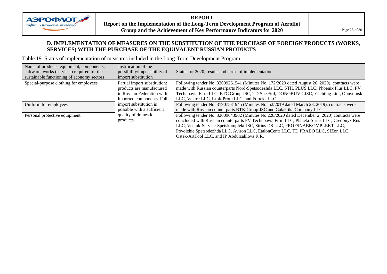

**REPORT Report on the Implementation of the Long-Term Development Program of Aeroflot Group and the Achievement of Key Performance Indicators for 2020** Page 28 of 30

#### **D. IMPLEMENTATION OF MEASURES ON THE SUBSTITUTION OF THE PURCHASE OF FOREIGN PRODUCTS (WORKS, SERVICES) WITH THE PURCHASE OF THE EQUIVALENT RUSSIAN PRODUCTS**

Table 19. Status of implementation of measures included in the Long-Term Development Program

| Name of products, equipment, components,<br>software, works (services) required for the<br>sustainable functioning of economy sectors | Justification of the<br>possibility/impossibility of<br>import substitution | Status for 2020, results and terms of implementation                                          |
|---------------------------------------------------------------------------------------------------------------------------------------|-----------------------------------------------------------------------------|-----------------------------------------------------------------------------------------------|
| Special-purpose clothing for employees                                                                                                | Partial import substitution:                                                | Following tender No. 32009261541 (Minutes No. 172/2020 dated August 26, 2020), contracts were |
|                                                                                                                                       | products are manufactured                                                   | made with Russian counterparts Nord-Spetsodezhda LLC, STIL PLUS LLC, Phoenix Plus LLC, PV     |
|                                                                                                                                       | in Russian Federation with                                                  | Technoavia Firm LLC, BTC Group JSC, TD SpecStil, DONOBUV CJSC, Yachting Ltd., Obuvomsk        |
|                                                                                                                                       | imported components. Full                                                   | LLC, Vektor LLC, Istok-Prom LLC, and Forteks LLC                                              |
| Uniform for employees                                                                                                                 | import substitution is                                                      | Following tender No. 31907531945 (Minutes No. 52/2019 dated March 23, 2019), contracts were   |
|                                                                                                                                       | possible with a sufficient                                                  | made with Russian counterparts BTK Group JSC and Galaktika Company LLC                        |
| Personal protective equipment                                                                                                         | quality of domestic                                                         | Following tender No. 32009643902 (Minutes No.228/2020 dated December 2, 2020) contracts were  |
|                                                                                                                                       | products.                                                                   | concluded with Russian counterparts PV Technoavia Firm LLC, Planeta-Sirius LLC, Credonyx Rus  |
|                                                                                                                                       |                                                                             | LLC, Vostok-Service-Spetskomplekt JSC, Sirius DS LLC, PROFSNABKOMPLEKT LLC,                   |
|                                                                                                                                       |                                                                             | Povolzhie Spetsodezhda LLC, Aviron LLC, EtalonCentr LLC, TD PRABO LLC, SIZon LLC,             |
|                                                                                                                                       |                                                                             | Ostek-ArtTool LLC, and IP Abdulzalilova R.R.                                                  |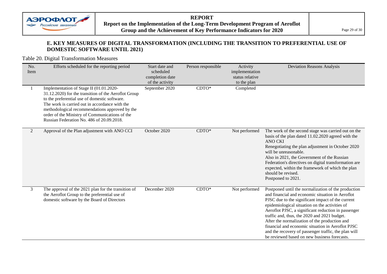

#### **REPORT Report on the Implementation of the Long-Term Development Program of Aeroflot Group and the Achievement of Key Performance Indicators for 2020** Page 29 of 30

#### **E. KEY MEASURES OF DIGITAL TRANSFORMATION (INCLUDING THE TRANSITION TO PREFERENTIAL USE OF DOMESTIC SOFTWARE UNTIL 2021)**

#### Table 20. Digital Transformation Measures

| No.<br>Item    | Efforts scheduled for the reporting period                                                                                                                                                                                                                                                                                                          | Start date and<br>scheduled<br>completion date<br>of the activity | Person responsible | Activity<br>implementation<br>status relative<br>to the plan | <b>Deviation Reasons Analysis</b>                                                                                                                                                                                                                                                                                                                                                                                                                                                                                                   |
|----------------|-----------------------------------------------------------------------------------------------------------------------------------------------------------------------------------------------------------------------------------------------------------------------------------------------------------------------------------------------------|-------------------------------------------------------------------|--------------------|--------------------------------------------------------------|-------------------------------------------------------------------------------------------------------------------------------------------------------------------------------------------------------------------------------------------------------------------------------------------------------------------------------------------------------------------------------------------------------------------------------------------------------------------------------------------------------------------------------------|
|                | Implementation of Stage II (01.01.2020-<br>31.12.2020) for the transition of the Aeroflot Group<br>to the preferential use of domestic software.<br>The work is carried out in accordance with the<br>methodological recommendations approved by the<br>order of the Ministry of Communications of the<br>Russian Federation No. 486 of 20.09.2018. | September 2020                                                    | $CDTO*$            | Completed                                                    |                                                                                                                                                                                                                                                                                                                                                                                                                                                                                                                                     |
| $\overline{2}$ | Approval of the Plan adjustment with ANO CCI                                                                                                                                                                                                                                                                                                        | October 2020                                                      | $CDTO*$            | Not performed                                                | The work of the second stage was carried out on the<br>basis of the plan dated 11.02.2020 agreed with the<br><b>ANO CKI</b><br>Renegotiating the plan adjustment in October 2020<br>will be unreasonable.<br>Also in 2021, the Government of the Russian<br>Federation's directives on digital transformation are<br>expected, within the framework of which the plan<br>should be revised.<br>Postponed to 2021.                                                                                                                   |
| 3              | The approval of the 2021 plan for the transition of<br>the Aeroflot Group to the preferential use of<br>domestic software by the Board of Directors                                                                                                                                                                                                 | December 2020                                                     | $CDTO*$            | Not performed                                                | Postponed until the normalization of the production<br>and financial and economic situation in Aeroflot<br>PJSC due to the significant impact of the current<br>epidemiological situation on the activities of<br>Aeroflot PJSC, a significant reduction in passenger<br>traffic and, thus, the 2020 and 2021 budget.<br>After the normalization of the production and<br>financial and economic situation in Aeroflot PJSC<br>and the recovery of passenger traffic, the plan will<br>be reviewed based on new business forecasts. |